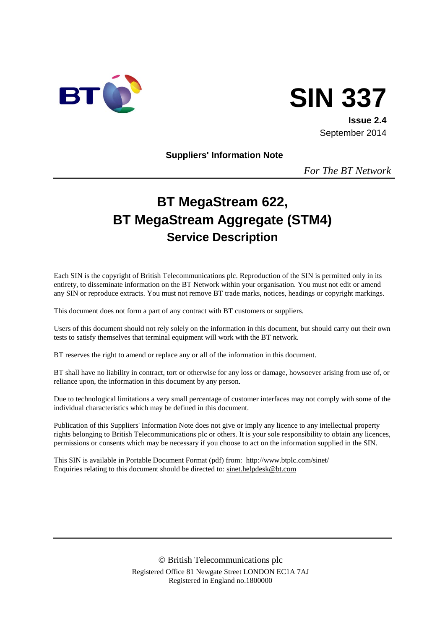

# **SIN 337**

**Issue 2.4** September 2014

**Suppliers' Information Note**

*For The BT Network*

# **BT MegaStream 622, BT MegaStream Aggregate (STM4) Service Description**

Each SIN is the copyright of British Telecommunications plc. Reproduction of the SIN is permitted only in its entirety, to disseminate information on the BT Network within your organisation. You must not edit or amend any SIN or reproduce extracts. You must not remove BT trade marks, notices, headings or copyright markings.

This document does not form a part of any contract with BT customers or suppliers.

Users of this document should not rely solely on the information in this document, but should carry out their own tests to satisfy themselves that terminal equipment will work with the BT network.

BT reserves the right to amend or replace any or all of the information in this document.

BT shall have no liability in contract, tort or otherwise for any loss or damage, howsoever arising from use of, or reliance upon, the information in this document by any person.

Due to technological limitations a very small percentage of customer interfaces may not comply with some of the individual characteristics which may be defined in this document.

Publication of this Suppliers' Information Note does not give or imply any licence to any intellectual property rights belonging to British Telecommunications plc or others. It is your sole responsibility to obtain any licences, permissions or consents which may be necessary if you choose to act on the information supplied in the SIN.

This SIN is available in Portable Document Format (pdf) from: <http://www.btplc.com/sinet/> Enquiries relating to this document should be directed to: [sinet.helpdesk@bt.com](mailto:sinet.helpdesk@bt.com)

> British Telecommunications plc Registered Office 81 Newgate Street LONDON EC1A 7AJ Registered in England no.1800000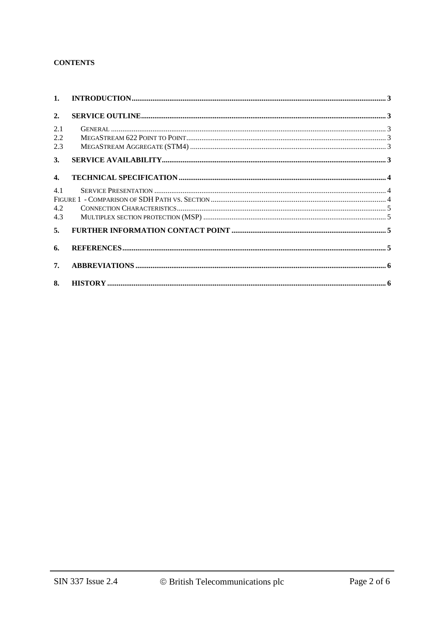#### **CONTENTS**

| 1 <sub>1</sub>    |  |
|-------------------|--|
| 2.                |  |
| 2.1<br>2.2<br>2.3 |  |
| 3.                |  |
| $\mathbf{4}$      |  |
| 4.1<br>4.2<br>4.3 |  |
| 5.                |  |
| 6.                |  |
| 7.                |  |
| 8.                |  |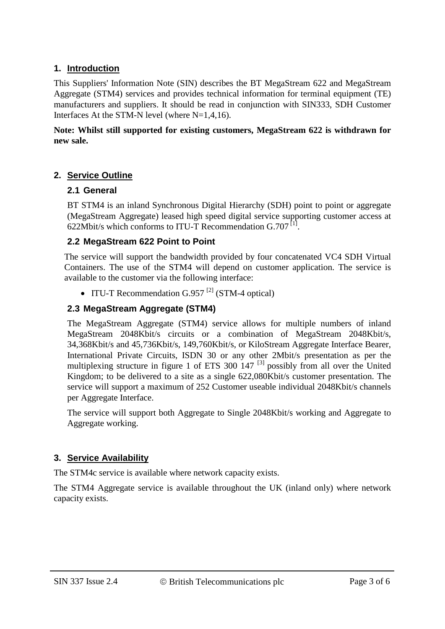#### **1. Introduction**

This Suppliers' Information Note (SIN) describes the BT MegaStream 622 and MegaStream Aggregate (STM4) services and provides technical information for terminal equipment (TE) manufacturers and suppliers. It should be read in conjunction with SIN333, SDH Customer Interfaces At the STM-N level (where N=1,4,16).

#### **Note: Whilst still supported for existing customers, MegaStream 622 is withdrawn for new sale.**

#### **2. Service Outline**

#### **2.1 General**

BT STM4 is an inland Synchronous Digital Hierarchy (SDH) point to point or aggregate (MegaStream Aggregate) leased high speed digital service supporting customer access at 622Mbit/s which conforms to ITU-T Recommendation  $G.707$ <sup>[1]</sup>.

#### **2.2 MegaStream 622 Point to Point**

The service will support the bandwidth provided by four concatenated VC4 SDH Virtual Containers. The use of the STM4 will depend on customer application. The service is available to the customer via the following interface:

• ITU-T Recommendation  $G.957$ <sup>[2]</sup> (STM-4 optical)

#### **2.3 MegaStream Aggregate (STM4)**

The MegaStream Aggregate (STM4) service allows for multiple numbers of inland MegaStream 2048Kbit/s circuits or a combination of MegaStream 2048Kbit/s, 34,368Kbit/s and 45,736Kbit/s, 149,760Kbit/s, or KiloStream Aggregate Interface Bearer, International Private Circuits, ISDN 30 or any other 2Mbit/s presentation as per the multiplexing structure in figure 1 of ETS 300  $147$ <sup>[3]</sup> possibly from all over the United Kingdom; to be delivered to a site as a single 622,080Kbit/s customer presentation. The service will support a maximum of 252 Customer useable individual 2048Kbit/s channels per Aggregate Interface.

The service will support both Aggregate to Single 2048Kbit/s working and Aggregate to Aggregate working.

#### **3. Service Availability**

The STM4c service is available where network capacity exists.

The STM4 Aggregate service is available throughout the UK (inland only) where network capacity exists.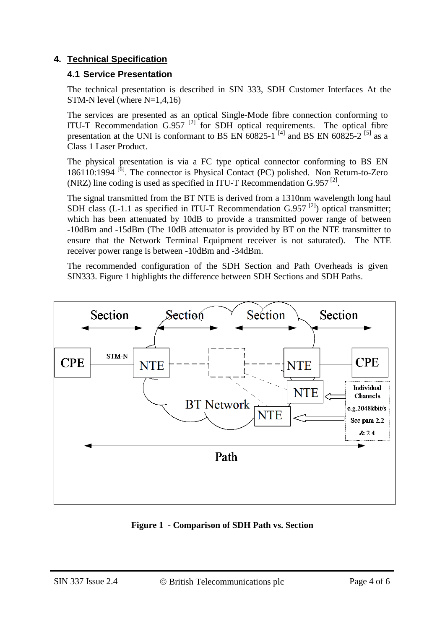#### **4. Technical Specification**

#### **4.1 Service Presentation**

The technical presentation is described in SIN 333, SDH Customer Interfaces At the STM-N level (where  $N=1,4,16$ )

The services are presented as an optical Single-Mode fibre connection conforming to ITU-T Recommendation G.957<sup>[2]</sup> for SDH optical requirements. The optical fibre presentation at the UNI is conformant to BS EN  $60825-1$ <sup>[4]</sup> and BS EN  $60825-2$ <sup>[5]</sup> as a Class 1 Laser Product.

The physical presentation is via a FC type optical connector conforming to BS EN 186110:1994 [6]. The connector is Physical Contact (PC) polished. Non Return-to-Zero (NRZ) line coding is used as specified in ITU-T Recommendation  $G.957^{[2]}$ .

The signal transmitted from the BT NTE is derived from a 1310nm wavelength long haul SDH class (L-1.1 as specified in ITU-T Recommendation G.957 $^{[2]}$ ) optical transmitter; which has been attenuated by 10dB to provide a transmitted power range of between -10dBm and -15dBm (The 10dB attenuator is provided by BT on the NTE transmitter to ensure that the Network Terminal Equipment receiver is not saturated). The NTE receiver power range is between -10dBm and -34dBm.

The recommended configuration of the SDH Section and Path Overheads is given SIN333. Figure 1 highlights the difference between SDH Sections and SDH Paths.



**Figure 1 - Comparison of SDH Path vs. Section**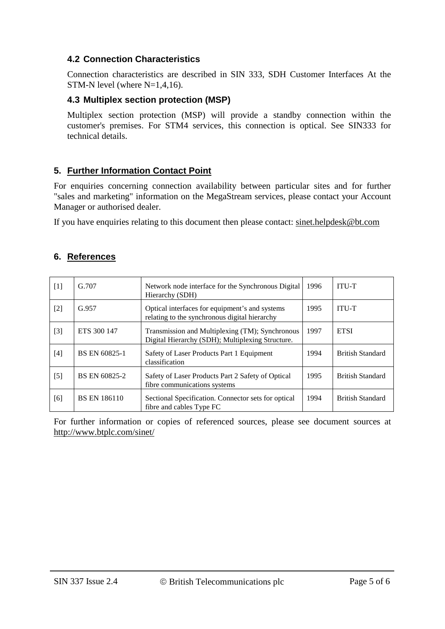#### **4.2 Connection Characteristics**

Connection characteristics are described in SIN 333, SDH Customer Interfaces At the STM-N level (where N=1,4,16).

#### **4.3 Multiplex section protection (MSP)**

Multiplex section protection (MSP) will provide a standby connection within the customer's premises. For STM4 services, this connection is optical. See SIN333 for technical details.

#### **5. Further Information Contact Point**

For enquiries concerning connection availability between particular sites and for further "sales and marketing" information on the MegaStream services, please contact your Account Manager or authorised dealer.

If you have enquiries relating to this document then please contact: [sinet.helpdesk@bt.com](mailto:sinet.helpdesk@bt.com)

#### **6. References**

| $[1]$ | G.707               | 1996<br>Network node interface for the Synchronous Digital<br>Hierarchy (SDH)                       |      | <b>ITU-T</b>            |
|-------|---------------------|-----------------------------------------------------------------------------------------------------|------|-------------------------|
| $[2]$ | G.957               | Optical interfaces for equipment's and systems<br>relating to the synchronous digital hierarchy     | 1995 | <b>ITU-T</b>            |
| $[3]$ | ETS 300 147         | Transmission and Multiplexing (TM); Synchronous<br>Digital Hierarchy (SDH); Multiplexing Structure. | 1997 | <b>ETSI</b>             |
| $[4]$ | BS EN 60825-1       | Safety of Laser Products Part 1 Equipment<br>classification                                         | 1994 | <b>British Standard</b> |
| $[5]$ | BS EN 60825-2       | Safety of Laser Products Part 2 Safety of Optical<br>fibre communications systems                   | 1995 | <b>British Standard</b> |
| [6]   | <b>BS EN 186110</b> | Sectional Specification. Connector sets for optical<br>1994<br>fibre and cables Type FC             |      | <b>British Standard</b> |

For further information or copies of referenced sources, please see document sources at <http://www.btplc.com/sinet/>